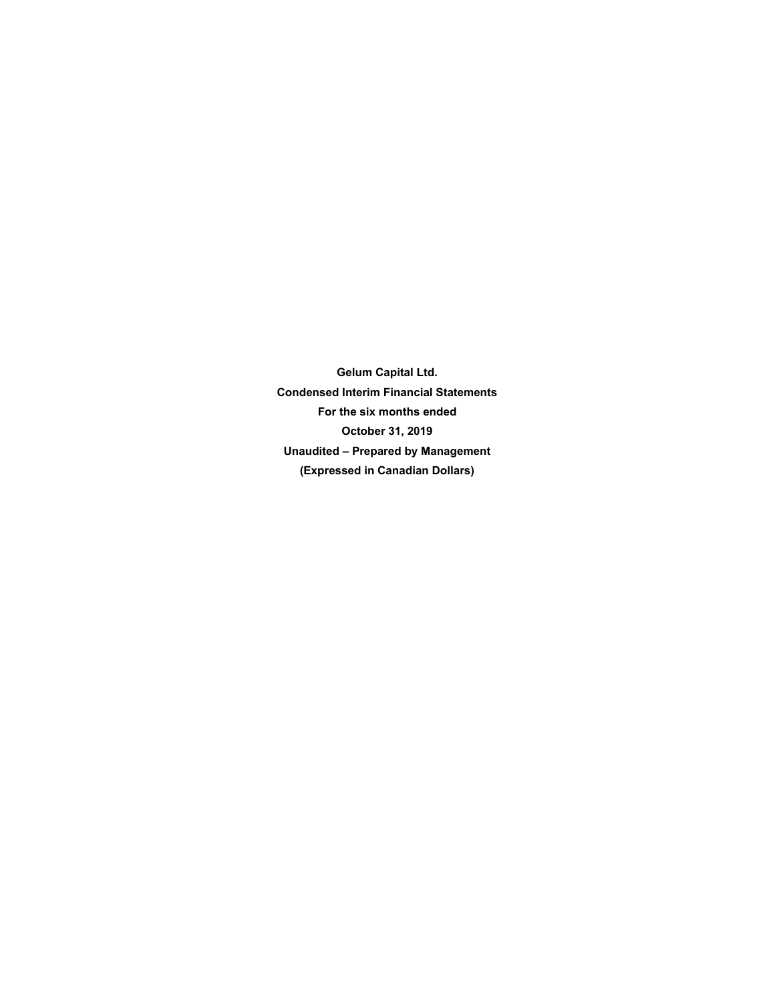**Gelum Capital Ltd. Condensed Interim Financial Statements For the six months ended October 31, 2019 Unaudited – Prepared by Management (Expressed in Canadian Dollars)**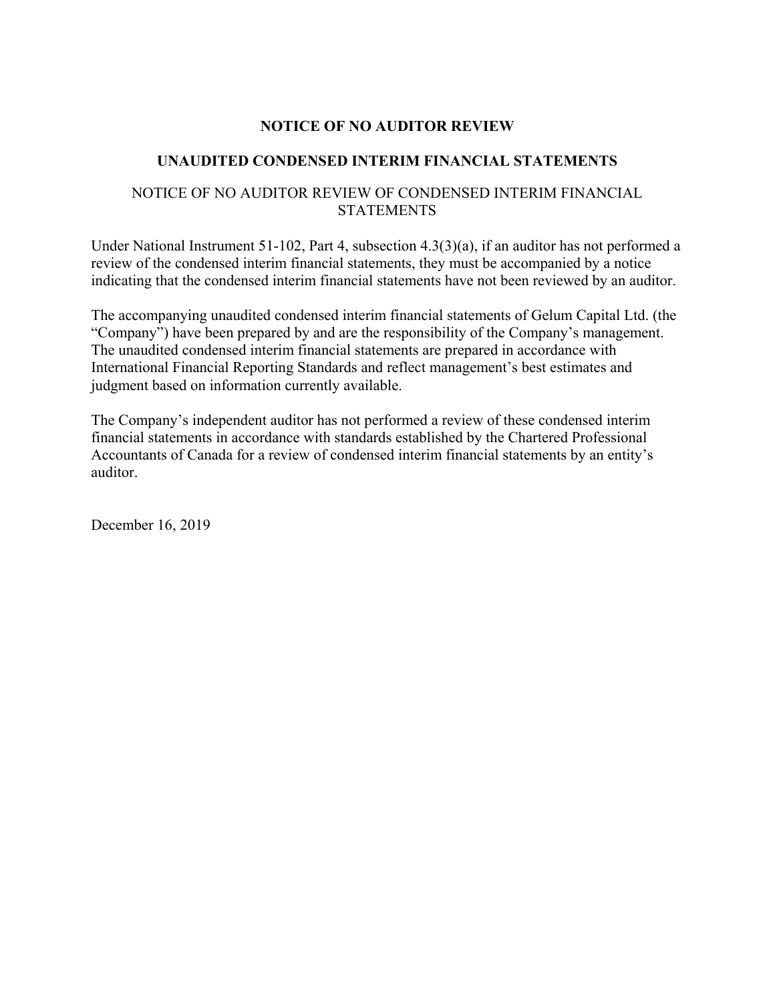# **NOTICE OF NO AUDITOR REVIEW**

# **UNAUDITED CONDENSED INTERIM FINANCIAL STATEMENTS**

# NOTICE OF NO AUDITOR REVIEW OF CONDENSED INTERIM FINANCIAL **STATEMENTS**

Under National Instrument 51-102, Part 4, subsection 4.3(3)(a), if an auditor has not performed a review of the condensed interim financial statements, they must be accompanied by a notice indicating that the condensed interim financial statements have not been reviewed by an auditor.

The accompanying unaudited condensed interim financial statements of Gelum Capital Ltd. (the "Company") have been prepared by and are the responsibility of the Company's management. The unaudited condensed interim financial statements are prepared in accordance with International Financial Reporting Standards and reflect management's best estimates and judgment based on information currently available.

The Company's independent auditor has not performed a review of these condensed interim financial statements in accordance with standards established by the Chartered Professional Accountants of Canada for a review of condensed interim financial statements by an entity's auditor.

December 16, 2019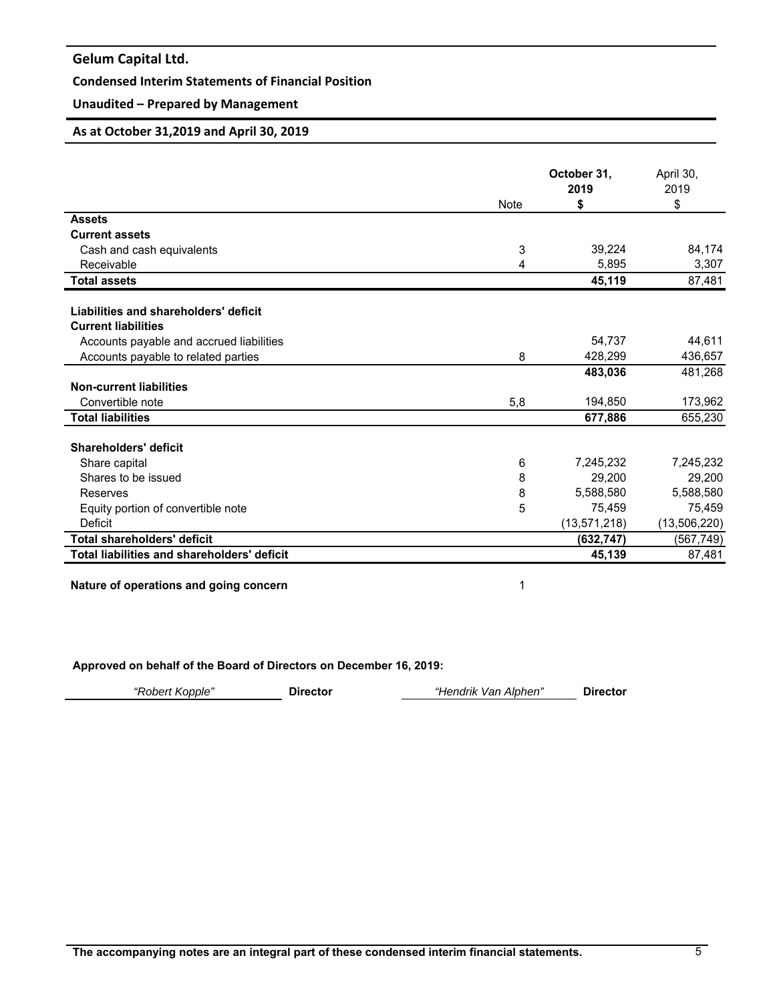# **Condensed Interim Statements of Financial Position**

# **Unaudited – Prepared by Management**

### **As at October 31,2019 and April 30, 2019**

|                                             |             | October 31,<br>2019 | April 30,<br>2019 |
|---------------------------------------------|-------------|---------------------|-------------------|
|                                             | <b>Note</b> | \$                  | \$                |
| <b>Assets</b>                               |             |                     |                   |
| <b>Current assets</b>                       |             |                     |                   |
| Cash and cash equivalents                   | 3           | 39,224              | 84,174            |
| Receivable                                  | 4           | 5,895               | 3,307             |
| <b>Total assets</b>                         |             | 45,119              | 87,481            |
|                                             |             |                     |                   |
| Liabilities and shareholders' deficit       |             |                     |                   |
| <b>Current liabilities</b>                  |             |                     |                   |
| Accounts payable and accrued liabilities    |             | 54.737              | 44,611            |
| Accounts payable to related parties         | 8           | 428,299             | 436,657           |
|                                             |             | 483,036             | 481,268           |
| <b>Non-current liabilities</b>              |             |                     |                   |
| Convertible note                            | 5,8         | 194,850             | 173,962           |
| <b>Total liabilities</b>                    |             | 677,886             | 655,230           |
| Shareholders' deficit                       |             |                     |                   |
| Share capital                               | 6           | 7,245,232           | 7,245,232         |
| Shares to be issued                         | 8           | 29,200              | 29,200            |
| Reserves                                    | 8           | 5,588,580           | 5,588,580         |
| Equity portion of convertible note          | 5           | 75,459              | 75,459            |
| Deficit                                     |             | (13, 571, 218)      | (13,506,220)      |
| Total shareholders' deficit                 |             | (632, 747)          | (567,749)         |
| Total liabilities and shareholders' deficit |             | 45,139              | 87,481            |
|                                             |             |                     |                   |

**Nature of operations and going concern** 1

**Approved on behalf of the Board of Directors on December 16, 2019:** 

| "Robert Kopple" | <b>Director</b> | "Hendrik Van Alphen" | <b>Director</b> |
|-----------------|-----------------|----------------------|-----------------|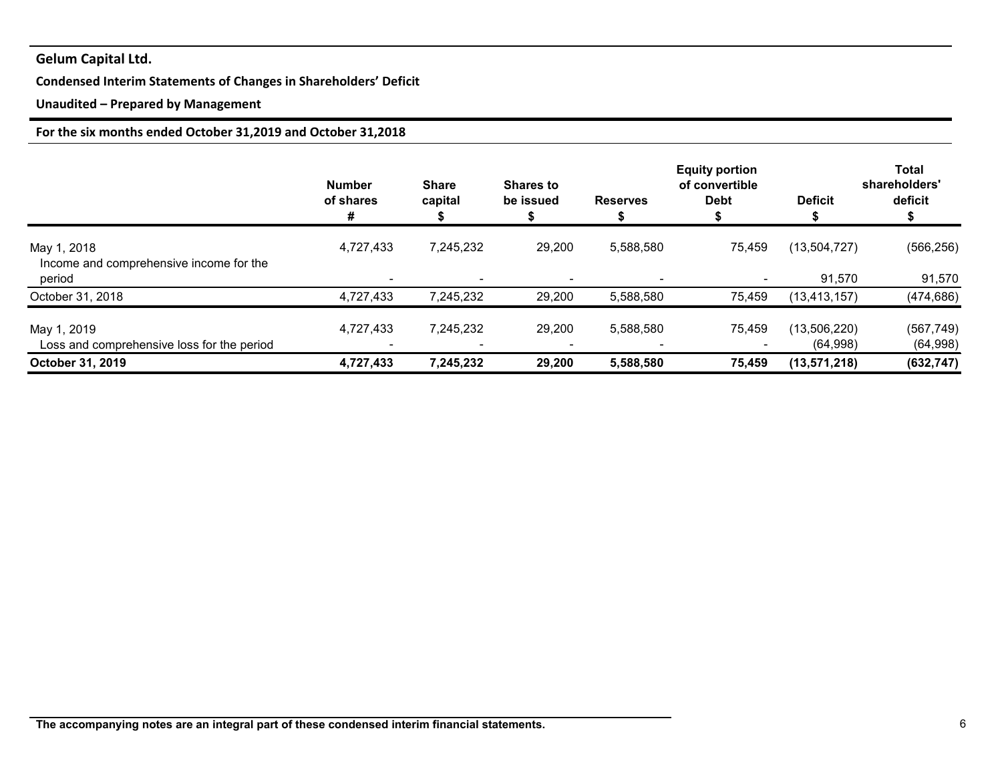# **Condensed Interim Statements of Changes in Shareholders' Deficit**

# **Unaudited – Prepared by Management**

# **For the six months ended October 31,2019 and October 31,2018**

|                                                           | <b>Number</b><br>of shares<br># | <b>Share</b><br>capital  | <b>Shares to</b><br>be issued | <b>Reserves</b> | <b>Equity portion</b><br>of convertible<br><b>Debt</b> | <b>Deficit</b>           | Total<br>shareholders'<br>deficit |
|-----------------------------------------------------------|---------------------------------|--------------------------|-------------------------------|-----------------|--------------------------------------------------------|--------------------------|-----------------------------------|
| May 1, 2018<br>Income and comprehensive income for the    | 4,727,433                       | 7,245,232                | 29,200                        | 5,588,580       | 75,459                                                 | (13, 504, 727)           | (566, 256)                        |
| period                                                    |                                 | $\overline{\phantom{0}}$ |                               |                 |                                                        | 91,570                   | 91,570                            |
| October 31, 2018                                          | 4,727,433                       | 7,245,232                | 29,200                        | 5,588,580       | 75,459                                                 | (13, 413, 157)           | (474, 686)                        |
| May 1, 2019<br>Loss and comprehensive loss for the period | 4,727,433                       | 7,245,232                | 29,200                        | 5,588,580       | 75,459                                                 | (13,506,220)<br>(64,998) | (567, 749)<br>(64, 998)           |
| October 31, 2019                                          | 4,727,433                       | 7,245,232                | 29,200                        | 5,588,580       | 75.459                                                 | (13, 571, 218)           | (632, 747)                        |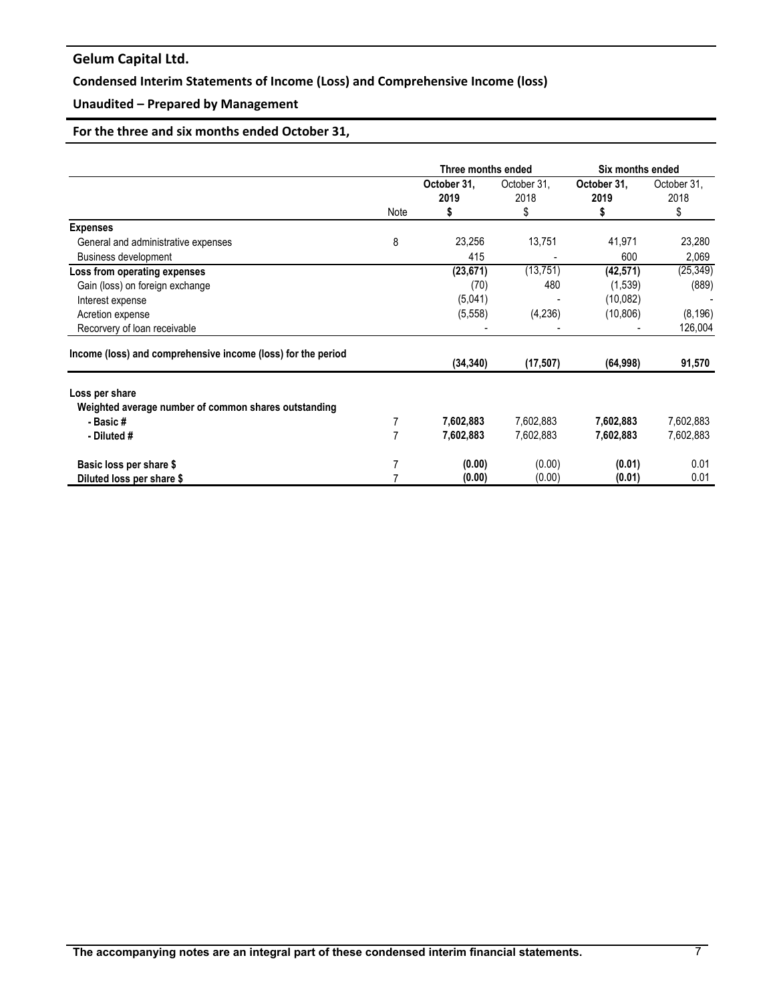# **Condensed Interim Statements of Income (Loss) and Comprehensive Income (loss)**

# **Unaudited – Prepared by Management**

# **For the three and six months ended October 31,**

|                                                              |      | Three months ended       |                           | Six months ended         |                           |
|--------------------------------------------------------------|------|--------------------------|---------------------------|--------------------------|---------------------------|
|                                                              | Note | October 31,<br>2019<br>5 | October 31,<br>2018<br>\$ | October 31,<br>2019<br>S | October 31,<br>2018<br>\$ |
| <b>Expenses</b>                                              |      |                          |                           |                          |                           |
| General and administrative expenses                          | 8    | 23,256                   | 13,751                    | 41,971                   | 23,280                    |
| <b>Business development</b>                                  |      | 415                      |                           | 600                      | 2,069                     |
| Loss from operating expenses                                 |      | (23, 671)                | (13, 751)                 | (42, 571)                | (25, 349)                 |
| Gain (loss) on foreign exchange                              |      | (70)                     | 480                       | (1, 539)                 | (889)                     |
| Interest expense                                             |      | (5,041)                  |                           | (10,082)                 |                           |
| Acretion expense                                             |      | (5, 558)                 | (4, 236)                  | (10, 806)                | (8, 196)                  |
| Recorvery of loan receivable                                 |      |                          |                           |                          | 126,004                   |
| Income (loss) and comprehensive income (loss) for the period |      | (34, 340)                | (17, 507)                 | (64, 998)                | 91,570                    |
| Loss per share                                               |      |                          |                           |                          |                           |
| Weighted average number of common shares outstanding         |      |                          | 7,602,883                 |                          |                           |
| - Basic #                                                    | 7    | 7,602,883                |                           | 7,602,883                | 7,602,883                 |
| - Diluted #                                                  |      | 7,602,883                | 7,602,883                 | 7,602,883                | 7,602,883                 |
| Basic loss per share \$                                      |      | (0.00)                   | (0.00)                    | (0.01)                   | 0.01                      |
| Diluted loss per share \$                                    |      | (0.00)                   | (0.00)                    | (0.01)                   | 0.01                      |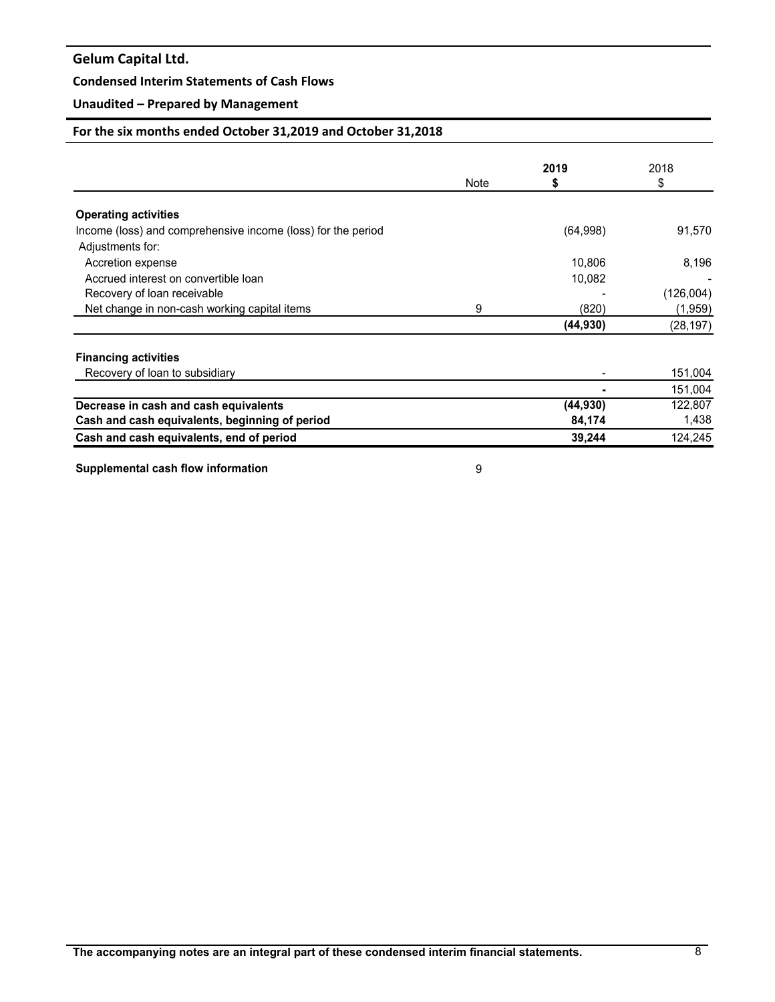## **Condensed Interim Statements of Cash Flows**

# **Unaudited – Prepared by Management**

# **For the six months ended October 31,2019 and October 31,2018**

|                                                              |      | 2019      | 2018      |
|--------------------------------------------------------------|------|-----------|-----------|
|                                                              | Note | \$        | S         |
| <b>Operating activities</b>                                  |      |           |           |
| Income (loss) and comprehensive income (loss) for the period |      | (64,998)  | 91,570    |
| Adjustments for:                                             |      |           |           |
| Accretion expense                                            |      | 10,806    | 8,196     |
| Accrued interest on convertible loan                         |      | 10,082    |           |
| Recovery of loan receivable                                  |      |           | (126,004) |
| Net change in non-cash working capital items                 | 9    | (820)     | (1,959)   |
|                                                              |      | (44, 930) | (28, 197) |
| <b>Financing activities</b>                                  |      |           |           |
| Recovery of loan to subsidiary                               |      |           | 151,004   |
|                                                              |      |           | 151,004   |
| Decrease in cash and cash equivalents                        |      | (44, 930) | 122,807   |
| Cash and cash equivalents, beginning of period               |      | 84,174    | 1,438     |
| Cash and cash equivalents, end of period                     |      | 39,244    | 124,245   |

**Supplemental cash flow information** 9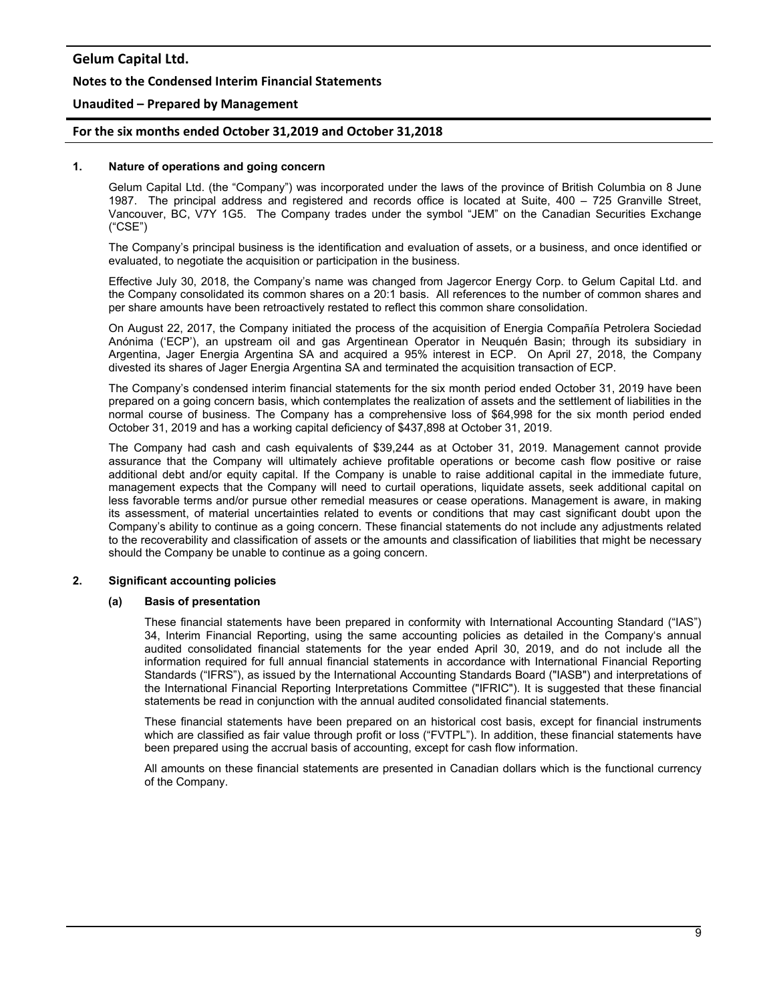### **Notes to the Condensed Interim Financial Statements**

### **Unaudited – Prepared by Management**

### **For the six months ended October 31,2019 and October 31,2018**

#### **1. Nature of operations and going concern**

Gelum Capital Ltd. (the "Company") was incorporated under the laws of the province of British Columbia on 8 June 1987. The principal address and registered and records office is located at Suite, 400 – 725 Granville Street, Vancouver, BC, V7Y 1G5. The Company trades under the symbol "JEM" on the Canadian Securities Exchange ("CSE")

The Company's principal business is the identification and evaluation of assets, or a business, and once identified or evaluated, to negotiate the acquisition or participation in the business.

Effective July 30, 2018, the Company's name was changed from Jagercor Energy Corp. to Gelum Capital Ltd. and the Company consolidated its common shares on a 20:1 basis. All references to the number of common shares and per share amounts have been retroactively restated to reflect this common share consolidation.

On August 22, 2017, the Company initiated the process of the acquisition of Energia Compañía Petrolera Sociedad Anónima ('ECP'), an upstream oil and gas Argentinean Operator in Neuquén Basin; through its subsidiary in Argentina, Jager Energia Argentina SA and acquired a 95% interest in ECP. On April 27, 2018, the Company divested its shares of Jager Energia Argentina SA and terminated the acquisition transaction of ECP.

The Company's condensed interim financial statements for the six month period ended October 31, 2019 have been prepared on a going concern basis, which contemplates the realization of assets and the settlement of liabilities in the normal course of business. The Company has a comprehensive loss of \$64,998 for the six month period ended October 31, 2019 and has a working capital deficiency of \$437,898 at October 31, 2019.

The Company had cash and cash equivalents of \$39,244 as at October 31, 2019. Management cannot provide assurance that the Company will ultimately achieve profitable operations or become cash flow positive or raise additional debt and/or equity capital. If the Company is unable to raise additional capital in the immediate future, management expects that the Company will need to curtail operations, liquidate assets, seek additional capital on less favorable terms and/or pursue other remedial measures or cease operations. Management is aware, in making its assessment, of material uncertainties related to events or conditions that may cast significant doubt upon the Company's ability to continue as a going concern. These financial statements do not include any adjustments related to the recoverability and classification of assets or the amounts and classification of liabilities that might be necessary should the Company be unable to continue as a going concern.

## **2. Significant accounting policies**

#### **(a) Basis of presentation**

These financial statements have been prepared in conformity with International Accounting Standard ("IAS") 34, Interim Financial Reporting, using the same accounting policies as detailed in the Company's annual audited consolidated financial statements for the year ended April 30, 2019, and do not include all the information required for full annual financial statements in accordance with International Financial Reporting Standards ("IFRS"), as issued by the International Accounting Standards Board ("IASB") and interpretations of the International Financial Reporting Interpretations Committee ("IFRIC"). It is suggested that these financial statements be read in conjunction with the annual audited consolidated financial statements.

These financial statements have been prepared on an historical cost basis, except for financial instruments which are classified as fair value through profit or loss ("FVTPL"). In addition, these financial statements have been prepared using the accrual basis of accounting, except for cash flow information.

All amounts on these financial statements are presented in Canadian dollars which is the functional currency of the Company.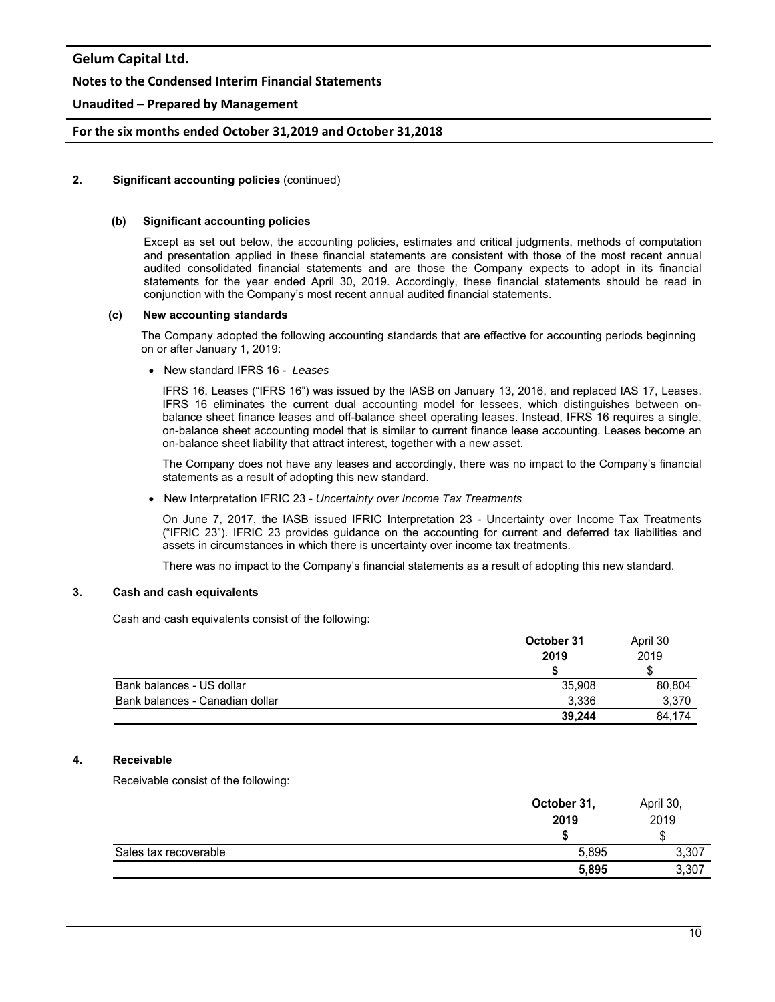### **Notes to the Condensed Interim Financial Statements**

## **Unaudited – Prepared by Management**

### **For the six months ended October 31,2019 and October 31,2018**

### **2. Significant accounting policies** (continued)

#### **(b) Significant accounting policies**

Except as set out below, the accounting policies, estimates and critical judgments, methods of computation and presentation applied in these financial statements are consistent with those of the most recent annual audited consolidated financial statements and are those the Company expects to adopt in its financial statements for the year ended April 30, 2019. Accordingly, these financial statements should be read in conjunction with the Company's most recent annual audited financial statements.

#### **(c) New accounting standards**

 The Company adopted the following accounting standards that are effective for accounting periods beginning on or after January 1, 2019:

New standard IFRS 16 - *Leases* 

IFRS 16, Leases ("IFRS 16") was issued by the IASB on January 13, 2016, and replaced IAS 17, Leases. IFRS 16 eliminates the current dual accounting model for lessees, which distinguishes between onbalance sheet finance leases and off-balance sheet operating leases. Instead, IFRS 16 requires a single, on-balance sheet accounting model that is similar to current finance lease accounting. Leases become an on-balance sheet liability that attract interest, together with a new asset.

The Company does not have any leases and accordingly, there was no impact to the Company's financial statements as a result of adopting this new standard.

New Interpretation IFRIC 23 - *Uncertainty over Income Tax Treatments* 

On June 7, 2017, the IASB issued IFRIC Interpretation 23 - Uncertainty over Income Tax Treatments ("IFRIC 23"). IFRIC 23 provides guidance on the accounting for current and deferred tax liabilities and assets in circumstances in which there is uncertainty over income tax treatments.

There was no impact to the Company's financial statements as a result of adopting this new standard.

# **3. Cash and cash equivalents**

Cash and cash equivalents consist of the following:

|                                 | October 31<br>2019 | April 30<br>2019 |
|---------------------------------|--------------------|------------------|
|                                 |                    |                  |
| Bank balances - US dollar       | 35,908             | 80,804           |
| Bank balances - Canadian dollar | 3.336              | 3,370            |
|                                 | 39,244             | 84.174           |

## **4. Receivable**

Receivable consist of the following:

|                       | October 31,<br>2019 | April 30,<br>2019 |  |
|-----------------------|---------------------|-------------------|--|
|                       |                     | w                 |  |
| Sales tax recoverable | 5,895               | 3,307             |  |
|                       | 5,895               | 3,307             |  |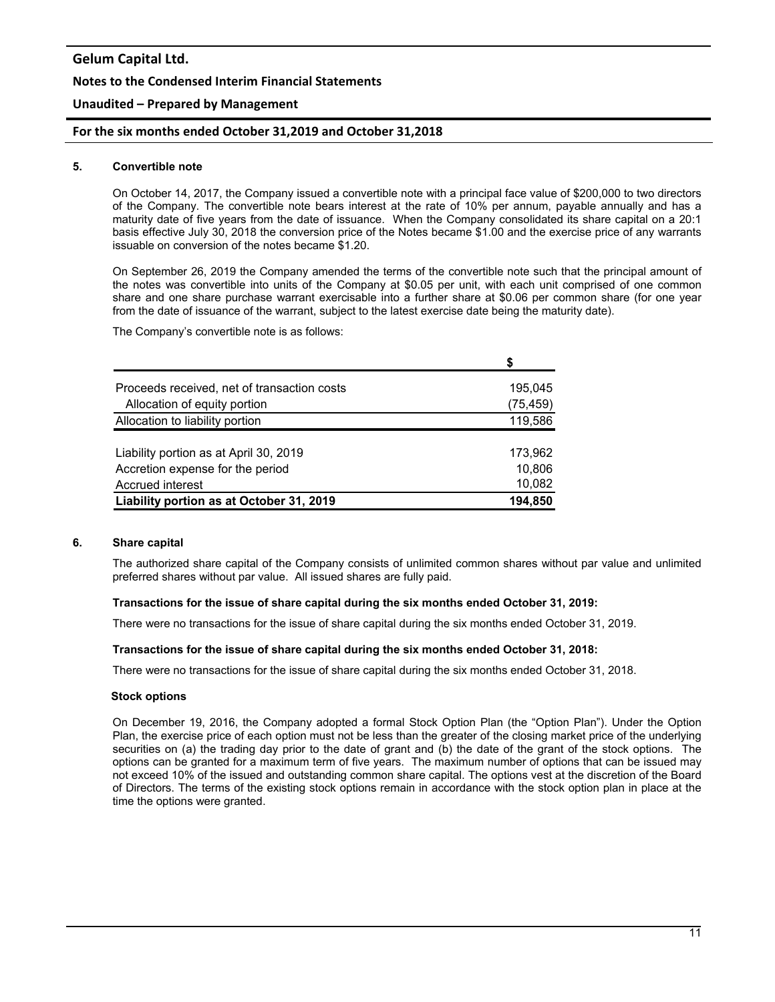### **Notes to the Condensed Interim Financial Statements**

## **Unaudited – Prepared by Management**

### **For the six months ended October 31,2019 and October 31,2018**

#### **5. Convertible note**

On October 14, 2017, the Company issued a convertible note with a principal face value of \$200,000 to two directors of the Company. The convertible note bears interest at the rate of 10% per annum, payable annually and has a maturity date of five years from the date of issuance. When the Company consolidated its share capital on a 20:1 basis effective July 30, 2018 the conversion price of the Notes became \$1.00 and the exercise price of any warrants issuable on conversion of the notes became \$1.20.

On September 26, 2019 the Company amended the terms of the convertible note such that the principal amount of the notes was convertible into units of the Company at \$0.05 per unit, with each unit comprised of one common share and one share purchase warrant exercisable into a further share at \$0.06 per common share (for one year from the date of issuance of the warrant, subject to the latest exercise date being the maturity date).

The Company's convertible note is as follows:

|                                             | S         |
|---------------------------------------------|-----------|
| Proceeds received, net of transaction costs | 195,045   |
| Allocation of equity portion                | (75, 459) |
| Allocation to liability portion             | 119,586   |
|                                             |           |
| Liability portion as at April 30, 2019      | 173,962   |
| Accretion expense for the period            | 10,806    |
| Accrued interest                            | 10,082    |
| Liability portion as at October 31, 2019    | 194,850   |

## **6. Share capital**

The authorized share capital of the Company consists of unlimited common shares without par value and unlimited preferred shares without par value. All issued shares are fully paid.

#### **Transactions for the issue of share capital during the six months ended October 31, 2019:**

There were no transactions for the issue of share capital during the six months ended October 31, 2019.

#### **Transactions for the issue of share capital during the six months ended October 31, 2018:**

There were no transactions for the issue of share capital during the six months ended October 31, 2018.

#### **Stock options**

On December 19, 2016, the Company adopted a formal Stock Option Plan (the "Option Plan"). Under the Option Plan, the exercise price of each option must not be less than the greater of the closing market price of the underlying securities on (a) the trading day prior to the date of grant and (b) the date of the grant of the stock options. The options can be granted for a maximum term of five years. The maximum number of options that can be issued may not exceed 10% of the issued and outstanding common share capital. The options vest at the discretion of the Board of Directors. The terms of the existing stock options remain in accordance with the stock option plan in place at the time the options were granted.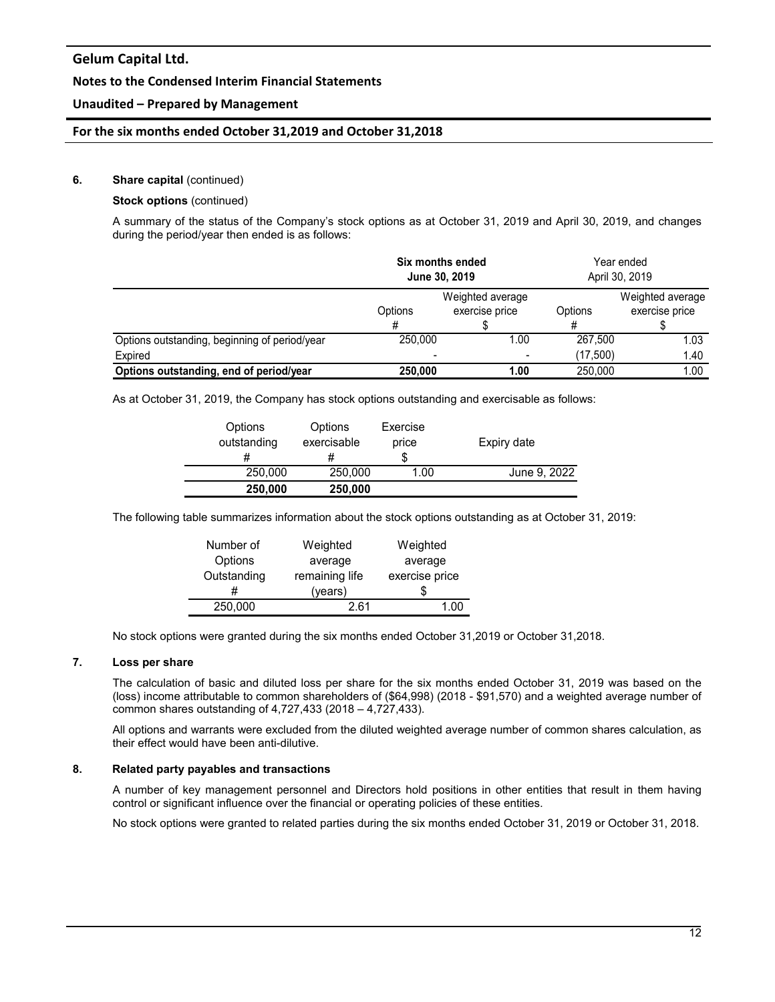## **Notes to the Condensed Interim Financial Statements**

## **Unaudited – Prepared by Management**

### **For the six months ended October 31,2019 and October 31,2018**

#### **6.** Share capital (continued)

#### **Stock options** (continued)

A summary of the status of the Company's stock options as at October 31, 2019 and April 30, 2019, and changes during the period/year then ended is as follows:

|                                               | Six months ended<br>June 30, 2019 |                                    | Year ended<br>April 30, 2019 |                                    |
|-----------------------------------------------|-----------------------------------|------------------------------------|------------------------------|------------------------------------|
|                                               | Options                           | Weighted average<br>exercise price | Options                      | Weighted average<br>exercise price |
|                                               |                                   |                                    |                              |                                    |
| Options outstanding, beginning of period/year | 250,000                           | 1.00                               | 267.500                      | 1.03                               |
| Expired                                       |                                   |                                    | (17,500)                     | 1.40                               |
| Options outstanding, end of period/year       | 250,000                           | 1.00                               | 250.000                      | 1.00                               |

As at October 31, 2019, the Company has stock options outstanding and exercisable as follows:

| Options<br>outstanding | Options<br>exercisable | Exercise<br>price<br>S | Expiry date  |
|------------------------|------------------------|------------------------|--------------|
| 250,000                | 250,000                | 1.00                   | June 9, 2022 |
| 250,000                | 250,000                |                        |              |

The following table summarizes information about the stock options outstanding as at October 31, 2019:

| Number of   | Weighted       | Weighted       |  |
|-------------|----------------|----------------|--|
| Options     | average        | average        |  |
| Outstanding | remaining life | exercise price |  |
|             | (years)        |                |  |
| 250,000     | 2 R1           | 1 N            |  |

No stock options were granted during the six months ended October 31,2019 or October 31,2018.

#### **7. Loss per share**

The calculation of basic and diluted loss per share for the six months ended October 31, 2019 was based on the (loss) income attributable to common shareholders of (\$64,998) (2018 - \$91,570) and a weighted average number of common shares outstanding of 4,727,433 (2018 – 4,727,433).

All options and warrants were excluded from the diluted weighted average number of common shares calculation, as their effect would have been anti-dilutive.

#### **8. Related party payables and transactions**

A number of key management personnel and Directors hold positions in other entities that result in them having control or significant influence over the financial or operating policies of these entities.

No stock options were granted to related parties during the six months ended October 31, 2019 or October 31, 2018.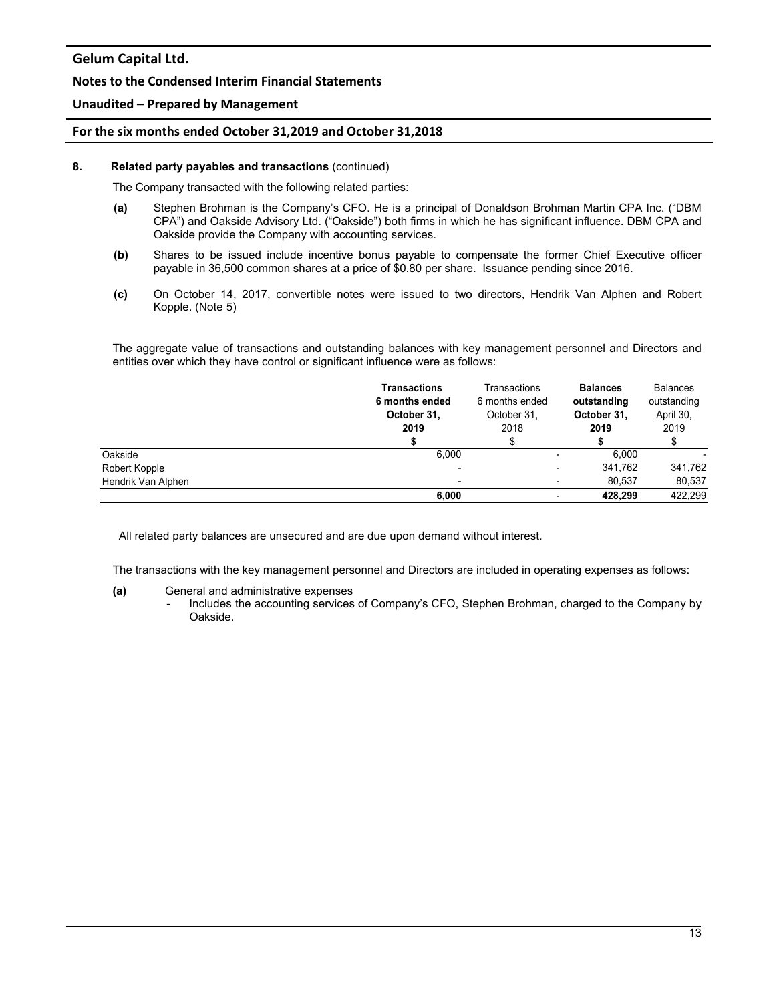## **Notes to the Condensed Interim Financial Statements**

## **Unaudited – Prepared by Management**

### **For the six months ended October 31,2019 and October 31,2018**

#### **8. Related party payables and transactions** (continued)

The Company transacted with the following related parties:

- **(a)** Stephen Brohman is the Company's CFO. He is a principal of Donaldson Brohman Martin CPA Inc. ("DBM CPA") and Oakside Advisory Ltd. ("Oakside") both firms in which he has significant influence. DBM CPA and Oakside provide the Company with accounting services.
- **(b)** Shares to be issued include incentive bonus payable to compensate the former Chief Executive officer payable in 36,500 common shares at a price of \$0.80 per share. Issuance pending since 2016.
- **(c)** On October 14, 2017, convertible notes were issued to two directors, Hendrik Van Alphen and Robert Kopple. (Note 5)

The aggregate value of transactions and outstanding balances with key management personnel and Directors and entities over which they have control or significant influence were as follows:

|                    | <b>Transactions</b><br>6 months ended<br>October 31,<br>2019 | Transactions<br>6 months ended<br>October 31,<br>2018 | <b>Balances</b><br>outstanding<br>October 31,<br>2019 | <b>Balances</b><br>outstanding<br>April 30,<br>2019 |
|--------------------|--------------------------------------------------------------|-------------------------------------------------------|-------------------------------------------------------|-----------------------------------------------------|
|                    |                                                              |                                                       |                                                       |                                                     |
|                    |                                                              |                                                       |                                                       |                                                     |
| Oakside            | 6,000                                                        |                                                       | 6.000<br>-                                            | -                                                   |
| Robert Kopple      |                                                              |                                                       | 341.762<br>٠                                          | 341,762                                             |
| Hendrik Van Alphen |                                                              |                                                       | 80.537                                                | 80,537                                              |
|                    | 6,000                                                        |                                                       | 428.299<br>۰                                          | 422.299                                             |

All related party balances are unsecured and are due upon demand without interest.

The transactions with the key management personnel and Directors are included in operating expenses as follows:

#### **(a)** General and administrative expenses

- Includes the accounting services of Company's CFO, Stephen Brohman, charged to the Company by Oakside.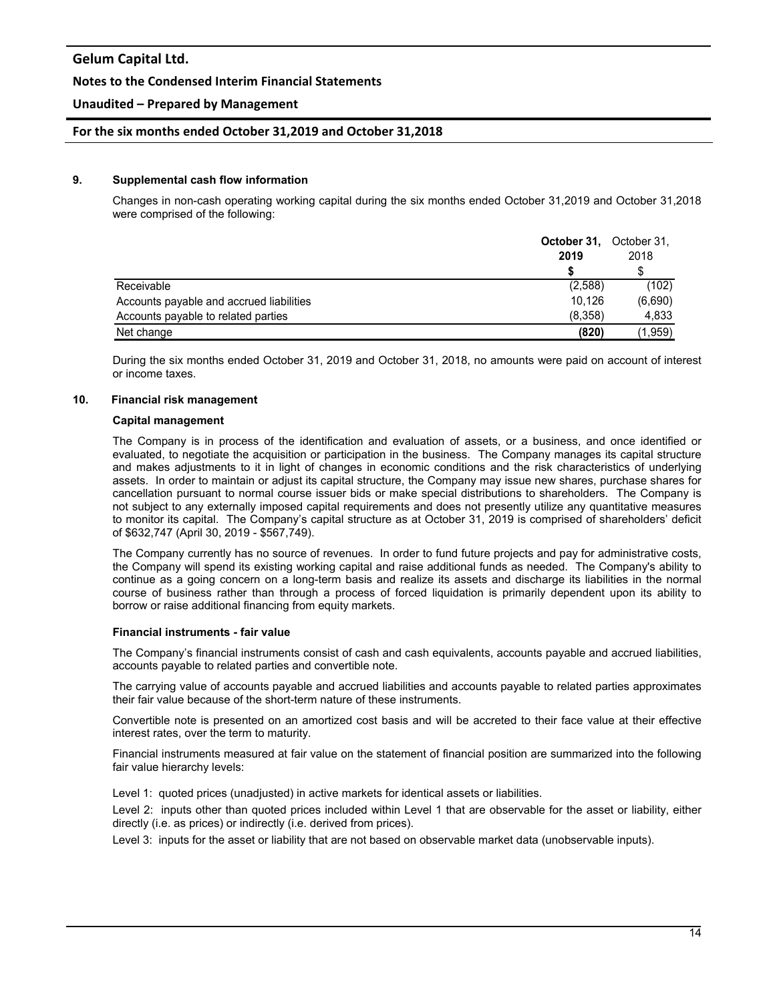### **Notes to the Condensed Interim Financial Statements**

## **Unaudited – Prepared by Management**

### **For the six months ended October 31,2019 and October 31,2018**

#### **9. Supplemental cash flow information**

Changes in non-cash operating working capital during the six months ended October 31,2019 and October 31,2018 were comprised of the following:

|                                          | October 31,<br>October 31,<br>2019 |         |
|------------------------------------------|------------------------------------|---------|
|                                          |                                    |         |
| Receivable                               | (2,588)                            | (102)   |
| Accounts payable and accrued liabilities | 10.126                             | (6,690) |
| Accounts payable to related parties      | (8,358)                            | 4,833   |
| Net change                               | (820)                              | (1,959) |

During the six months ended October 31, 2019 and October 31, 2018, no amounts were paid on account of interest or income taxes.

#### **10. Financial risk management**

#### **Capital management**

The Company is in process of the identification and evaluation of assets, or a business, and once identified or evaluated, to negotiate the acquisition or participation in the business. The Company manages its capital structure and makes adjustments to it in light of changes in economic conditions and the risk characteristics of underlying assets. In order to maintain or adjust its capital structure, the Company may issue new shares, purchase shares for cancellation pursuant to normal course issuer bids or make special distributions to shareholders. The Company is not subject to any externally imposed capital requirements and does not presently utilize any quantitative measures to monitor its capital. The Company's capital structure as at October 31, 2019 is comprised of shareholders' deficit of \$632,747 (April 30, 2019 - \$567,749).

The Company currently has no source of revenues. In order to fund future projects and pay for administrative costs, the Company will spend its existing working capital and raise additional funds as needed. The Company's ability to continue as a going concern on a long-term basis and realize its assets and discharge its liabilities in the normal course of business rather than through a process of forced liquidation is primarily dependent upon its ability to borrow or raise additional financing from equity markets.

#### **Financial instruments - fair value**

The Company's financial instruments consist of cash and cash equivalents, accounts payable and accrued liabilities, accounts payable to related parties and convertible note.

The carrying value of accounts payable and accrued liabilities and accounts payable to related parties approximates their fair value because of the short-term nature of these instruments.

Convertible note is presented on an amortized cost basis and will be accreted to their face value at their effective interest rates, over the term to maturity.

Financial instruments measured at fair value on the statement of financial position are summarized into the following fair value hierarchy levels:

Level 1: quoted prices (unadjusted) in active markets for identical assets or liabilities.

Level 2: inputs other than quoted prices included within Level 1 that are observable for the asset or liability, either directly (i.e. as prices) or indirectly (i.e. derived from prices).

Level 3: inputs for the asset or liability that are not based on observable market data (unobservable inputs).